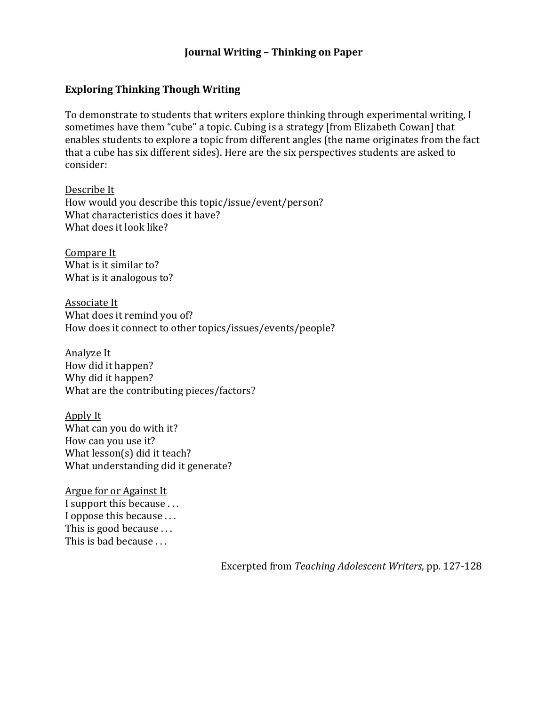## **Journal Writing - Thinking on Paper**

### **Exploring Thinking Though Writing**

To demonstrate to students that writers explore thinking through experimental writing, I sometimes have them "cube" a topic. Cubing is a strategy [from Elizabeth Cowan] that enables students to explore a topic from different angles (the name originates from the fact that a cube has six different sides). Here are the six perspectives students are asked to consider:

Describe It How would you describe this topic/issue/event/person? What characteristics does it have? What does it look like?

Compare It What is it similar to? What is it analogous to?

Associate It What does it remind you of? How does it connect to other topics/issues/events/people?

Analyze It How did it happen? Why did it happen? What are the contributing pieces/factors?

Apply It What can you do with it? How can you use it? What  $lesson(s)$  did it teach? What understanding did it generate?

Argue for or Against It I support this because ... I oppose this because ... This is good because  $\dots$ This is bad because  $\dots$ 

Excerpted from *Teaching Adolescent Writers*, pp. 127-128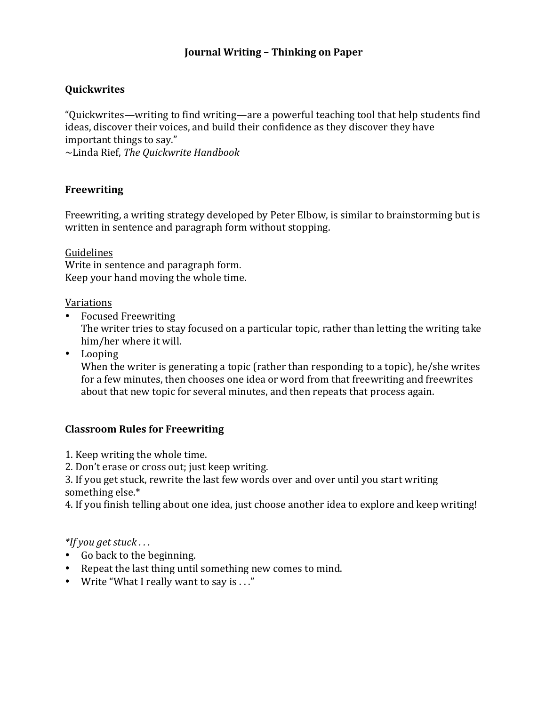# **Journal Writing - Thinking on Paper**

# **Quickwrites**

"Quickwrites—writing to find writing—are a powerful teaching tool that help students find ideas, discover their voices, and build their confidence as they discover they have important things to say."

~Linda Rief, *The Quickwrite Handbook*

# **Freewriting**

Freewriting, a writing strategy developed by Peter Elbow, is similar to brainstorming but is written in sentence and paragraph form without stopping.

Guidelines Write in sentence and paragraph form. Keep your hand moving the whole time.

### Variations

• Focused Freewriting

The writer tries to stay focused on a particular topic, rather than letting the writing take him/her where it will.

• Looping

When the writer is generating a topic (rather than responding to a topic), he/she writes for a few minutes, then chooses one idea or word from that freewriting and freewrites about that new topic for several minutes, and then repeats that process again.

# **Classroom Rules for Freewriting**

1. Keep writing the whole time.

2. Don't erase or cross out; just keep writing.

3. If you get stuck, rewrite the last few words over and over until you start writing something else.\*

4. If you finish telling about one idea, just choose another idea to explore and keep writing!

# *\*If you get stuck . . .*

- Go back to the beginning.
- Repeat the last thing until something new comes to mind.
- Write "What I really want to say is  $\ldots$ "